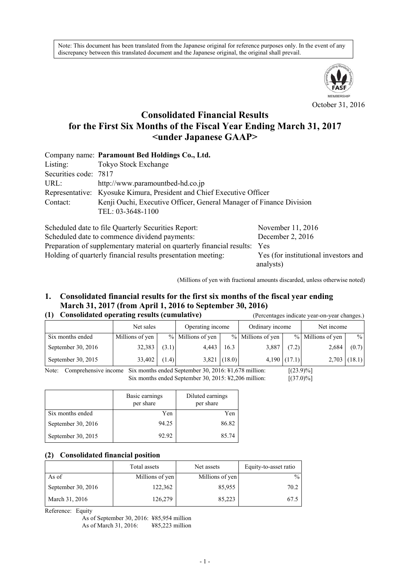Note: This document has been translated from the Japanese original for reference purposes only. In the event of any discrepancy between this translated document and the Japanese original, the original shall prevail.



### October 31, 2016

# **Consolidated Financial Results for the First Six Months of the Fiscal Year Ending March 31, 2017 <under Japanese GAAP>**

|                       | Company name: Paramount Bed Holdings Co., Ltd.                        |  |  |  |  |
|-----------------------|-----------------------------------------------------------------------|--|--|--|--|
| Listing:              | Tokyo Stock Exchange                                                  |  |  |  |  |
| Securities code: 7817 |                                                                       |  |  |  |  |
| URL:                  | http://www.paramountbed-hd.co.jp                                      |  |  |  |  |
|                       | Representative: Kyosuke Kimura, President and Chief Executive Officer |  |  |  |  |
| Contact:              | Kenji Ouchi, Executive Officer, General Manager of Finance Division   |  |  |  |  |
|                       | TEL: 03-3648-1100                                                     |  |  |  |  |
|                       | $\sim$ 1 1 1 1 $\sim$ $\sim$ 1 $\sim$                                 |  |  |  |  |

| Scheduled date to file Quarterly Securities Report:                       | November 11, 2016                    |
|---------------------------------------------------------------------------|--------------------------------------|
| Scheduled date to commence dividend payments:                             | December 2, $2016$                   |
| Preparation of supplementary material on quarterly financial results: Yes |                                      |
| Holding of quarterly financial results presentation meeting:              | Yes (for institutional investors and |
|                                                                           | analysts)                            |

(Millions of yen with fractional amounts discarded, unless otherwise noted)

## **1. Consolidated financial results for the first six months of the fiscal year ending March 31, 2017 (from April 1, 2016 to September 30, 2016)**

### **(1) Consolidated operating results (cumulative)** (Percentages indicate year-on-year changes.)

 Net sales Operating income Ordinary income Net income ٦

|                      | <b>NET SAICS</b> | Operating income |                   | Ordinary income |                   | <b>NET HIGOIHE</b> |                   |                |
|----------------------|------------------|------------------|-------------------|-----------------|-------------------|--------------------|-------------------|----------------|
| Six months ended     | Millions of yen  |                  | % Millions of yen |                 | % Millions of yen |                    | % Millions of yen | $\frac{0}{0}$  |
| September 30, $2016$ | 32,383           | (3.1)            | 4.443             | 16.3            | 3,887             | (7.2)              | 2,684             | (0.7)          |
| September 30, 2015   | 33,402           | (1.4)            |                   | $3,821$ (18.0)  |                   | $4,190$ $(17.1)$   |                   | $2,703$ (18.1) |

Note: Comprehensive income Six months ended September 30, 2016: ¥1,678 million: [(23.9)%] Six months ended September 30, 2015: \#2,206 million: [(37.0)%]

|                    | Basic earnings<br>per share | Diluted earnings<br>per share |
|--------------------|-----------------------------|-------------------------------|
| Six months ended   | Yen                         | Yen                           |
| September 30, 2016 | 94.25                       | 86.82                         |
| September 30, 2015 | 92.92                       | 85.74                         |

### **(2) Consolidated financial position**

|                    | Total assets    | Net assets      | Equity-to-asset ratio |
|--------------------|-----------------|-----------------|-----------------------|
| As of              | Millions of yen | Millions of yen | $\frac{0}{0}$         |
| September 30, 2016 | 122,362         | 85,955          | 70.2                  |
| March 31, 2016     | 126,279         | 85,223          | 67.5                  |

Reference: Equity

As of September 30, 2016: ¥85,954 million As of March 31, 2016: ¥85,223 million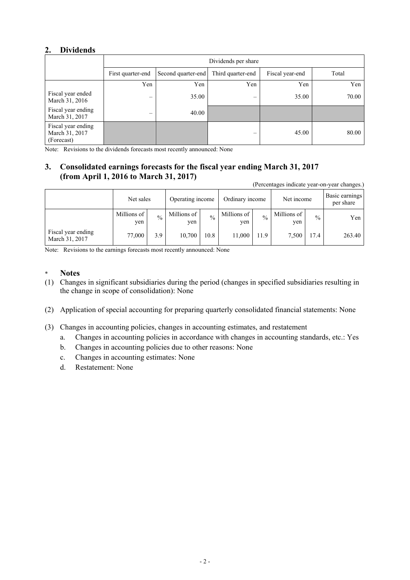## **2. Dividends**

|                                                    | Dividends per share |                    |                          |                 |       |  |  |
|----------------------------------------------------|---------------------|--------------------|--------------------------|-----------------|-------|--|--|
|                                                    | First quarter-end   | Second quarter-end | Third quarter-end        | Fiscal year-end | Total |  |  |
|                                                    | Yen                 | Yen                | Yen                      | Yen             | Yen   |  |  |
| Fiscal year ended<br>March 31, 2016                |                     | 35.00              | $\overline{\phantom{0}}$ | 35.00           | 70.00 |  |  |
| Fiscal year ending<br>March 31, 2017               | –                   | 40.00              |                          |                 |       |  |  |
| Fiscal year ending<br>March 31, 2017<br>(Forecast) |                     |                    | –                        | 45.00           | 80.00 |  |  |

Note: Revisions to the dividends forecasts most recently announced: None

# **3. Consolidated earnings forecasts for the fiscal year ending March 31, 2017 (from April 1, 2016 to March 31, 2017)**

(Percentages indicate year-on-year changes.)

|                                      | Net sales            |               | Operating income   |               | Ordinary income    |               | Net income         |               | Basic earnings<br>per share |
|--------------------------------------|----------------------|---------------|--------------------|---------------|--------------------|---------------|--------------------|---------------|-----------------------------|
|                                      | Millions of 1<br>yen | $\frac{0}{0}$ | Millions of<br>yen | $\frac{0}{0}$ | Millions of<br>yen | $\frac{0}{0}$ | Millions of<br>yen | $\frac{0}{0}$ | Yen                         |
| Fiscal year ending<br>March 31, 2017 | $77,000$ .           | 3.9           | 10,700             | 10.8          | 11,000             | 11.9          | 7.500              | 17.4          | 263.40                      |

Note: Revisions to the earnings forecasts most recently announced: None

- \* **Notes**
- (1) Changes in significant subsidiaries during the period (changes in specified subsidiaries resulting in the change in scope of consolidation): None
- (2) Application of special accounting for preparing quarterly consolidated financial statements: None
- (3) Changes in accounting policies, changes in accounting estimates, and restatement
	- a. Changes in accounting policies in accordance with changes in accounting standards, etc.: Yes
	- b. Changes in accounting policies due to other reasons: None
	- c. Changes in accounting estimates: None
	- d. Restatement: None